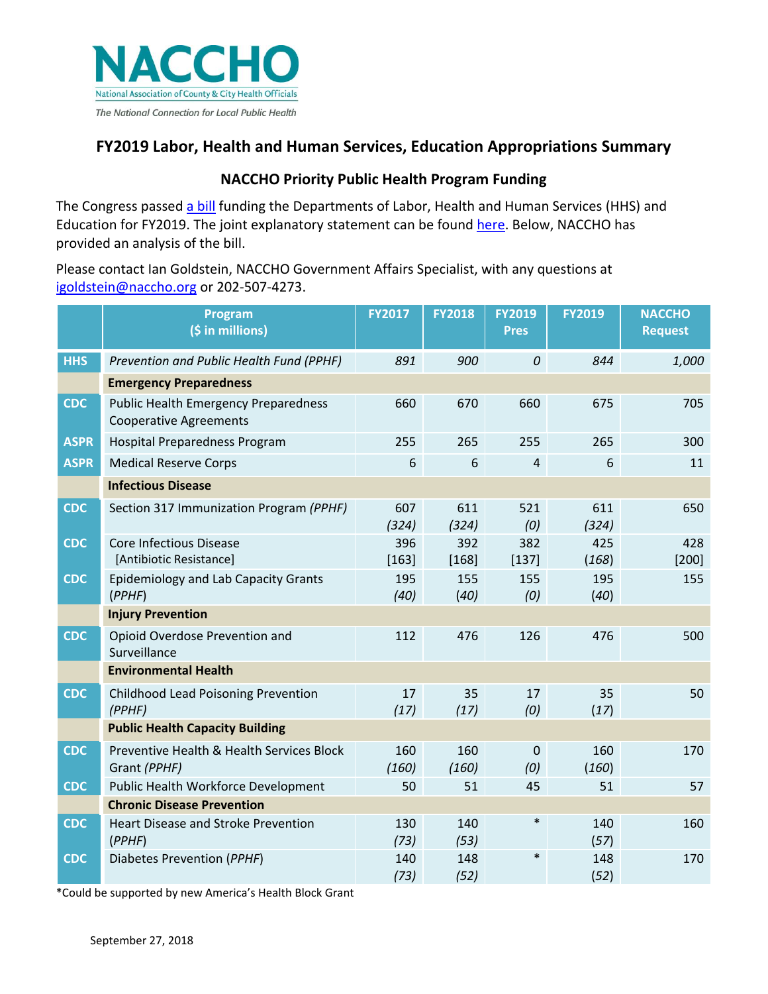

# **FY2019 Labor, Health and Human Services, Education Appropriations Summary**

## **NACCHO Priority Public Health Program Funding**

The Congress passed [a bill](https://appropriations.house.gov/uploadedfiles/labor_bill.pdf) funding the Departments of Labor, Health and Human Services (HHS) and Education for FY2019. The joint explanatory statement can be found [here.](https://docs.house.gov/billsthisweek/20180910/Joint%20%20Statement.pdf) Below, NACCHO has provided an analysis of the bill.

Please contact Ian Goldstein, NACCHO Government Affairs Specialist, with any questions at [igoldstein@naccho.org](mailto:igoldstein@naccho.org) or 202-507-4273.

|             | Program<br>(\$ in millions)                                                  | <b>FY2017</b>  | <b>FY2018</b>  | <b>FY2019</b><br><b>Pres</b> | <b>FY2019</b> | <b>NACCHO</b><br><b>Request</b> |  |  |  |  |  |
|-------------|------------------------------------------------------------------------------|----------------|----------------|------------------------------|---------------|---------------------------------|--|--|--|--|--|
| <b>HHS</b>  | Prevention and Public Health Fund (PPHF)                                     | 891            | 900            | $\cal O$                     | 844           | 1,000                           |  |  |  |  |  |
|             | <b>Emergency Preparedness</b>                                                |                |                |                              |               |                                 |  |  |  |  |  |
| <b>CDC</b>  | <b>Public Health Emergency Preparedness</b><br><b>Cooperative Agreements</b> | 660            | 670            | 660                          | 675           | 705                             |  |  |  |  |  |
| <b>ASPR</b> | Hospital Preparedness Program                                                | 255            | 265            | 255                          | 265           | 300                             |  |  |  |  |  |
| <b>ASPR</b> | <b>Medical Reserve Corps</b>                                                 | 6              | 6              | $\overline{4}$               | 6             | 11                              |  |  |  |  |  |
|             | <b>Infectious Disease</b>                                                    |                |                |                              |               |                                 |  |  |  |  |  |
| <b>CDC</b>  | Section 317 Immunization Program (PPHF)                                      | 607<br>(324)   | 611<br>(324)   | 521<br>(0)                   | 611<br>(324)  | 650                             |  |  |  |  |  |
| <b>CDC</b>  | <b>Core Infectious Disease</b><br>[Antibiotic Resistance]                    | 396<br>$[163]$ | 392<br>$[168]$ | 382<br>$[137]$               | 425<br>(168)  | 428<br>$[200]$                  |  |  |  |  |  |
| <b>CDC</b>  | <b>Epidemiology and Lab Capacity Grants</b><br>(PPHF)                        | 195<br>(40)    | 155<br>(40)    | 155<br>(0)                   | 195<br>(40)   | 155                             |  |  |  |  |  |
|             | <b>Injury Prevention</b>                                                     |                |                |                              |               |                                 |  |  |  |  |  |
| <b>CDC</b>  | Opioid Overdose Prevention and<br>Surveillance                               | 112            | 476            | 126                          | 476           | 500                             |  |  |  |  |  |
|             | <b>Environmental Health</b>                                                  |                |                |                              |               |                                 |  |  |  |  |  |
| <b>CDC</b>  | Childhood Lead Poisoning Prevention<br>(PPHF)                                | 17<br>(17)     | 35<br>(17)     | 17<br>(0)                    | 35<br>(17)    | 50                              |  |  |  |  |  |
|             | <b>Public Health Capacity Building</b>                                       |                |                |                              |               |                                 |  |  |  |  |  |
| <b>CDC</b>  | Preventive Health & Health Services Block<br>Grant (PPHF)                    | 160<br>(160)   | 160<br>(160)   | $\Omega$<br>(0)              | 160<br>(160)  | 170                             |  |  |  |  |  |
| <b>CDC</b>  | Public Health Workforce Development                                          | 50             | 51             | 45                           | 51            | 57                              |  |  |  |  |  |
|             | <b>Chronic Disease Prevention</b>                                            |                |                |                              |               |                                 |  |  |  |  |  |
| <b>CDC</b>  | <b>Heart Disease and Stroke Prevention</b><br>(PPHF)                         | 130<br>(73)    | 140<br>(53)    | $\ast$                       | 140<br>(57)   | 160                             |  |  |  |  |  |
| <b>CDC</b>  | Diabetes Prevention (PPHF)                                                   | 140<br>(73)    | 148<br>(52)    | $\ast$                       | 148<br>(52)   | 170                             |  |  |  |  |  |

\*Could be supported by new America's Health Block Grant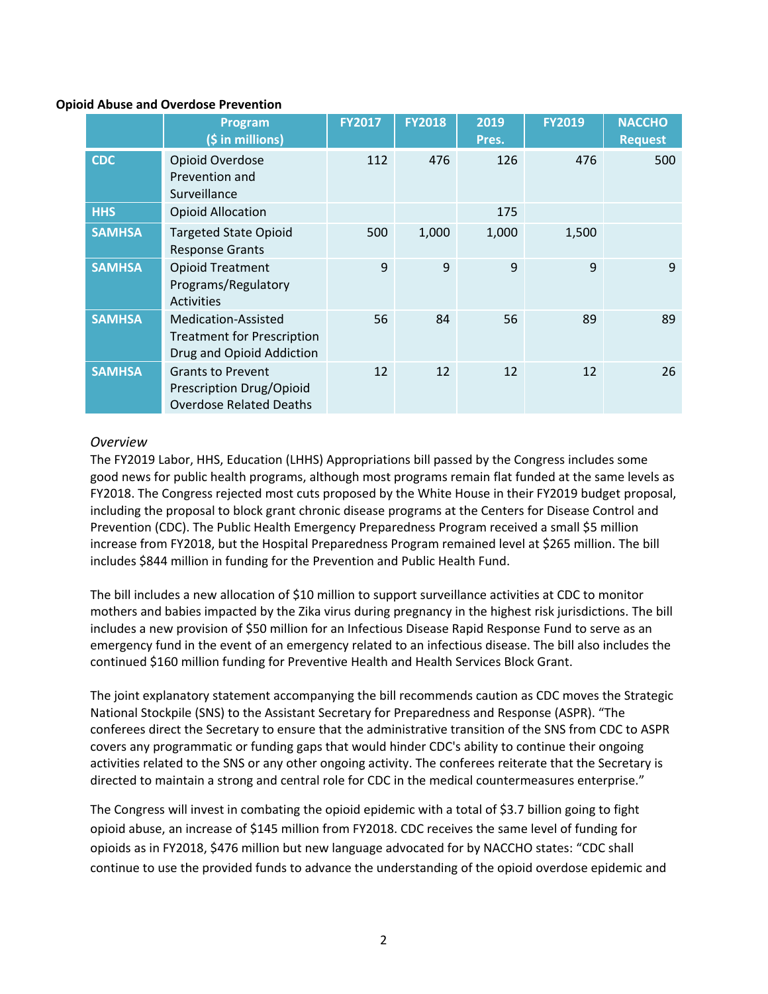#### **Opioid Abuse and Overdose Prevention**

|               | <b>Program</b><br>(\$ in millions)                                                     | <b>FY2017</b> | <b>FY2018</b> | 2019<br>Pres. | <b>FY2019</b> | <b>NACCHO</b><br><b>Request</b> |
|---------------|----------------------------------------------------------------------------------------|---------------|---------------|---------------|---------------|---------------------------------|
| <b>CDC</b>    | Opioid Overdose<br>Prevention and<br>Surveillance                                      | 112           | 476           | 126           | 476           | 500                             |
| <b>HHS</b>    | <b>Opioid Allocation</b>                                                               |               |               | 175           |               |                                 |
| <b>SAMHSA</b> | <b>Targeted State Opioid</b><br><b>Response Grants</b>                                 | 500           | 1,000         | 1,000         | 1,500         |                                 |
| <b>SAMHSA</b> | <b>Opioid Treatment</b><br>Programs/Regulatory<br><b>Activities</b>                    | 9             | 9             | 9             | 9             | 9                               |
| <b>SAMHSA</b> | Medication-Assisted<br><b>Treatment for Prescription</b><br>Drug and Opioid Addiction  | 56            | 84            | 56            | 89            | 89                              |
| <b>SAMHSA</b> | <b>Grants to Prevent</b><br>Prescription Drug/Opioid<br><b>Overdose Related Deaths</b> | 12            | 12            | 12            | 12            | 26                              |

#### *Overview*

The FY2019 Labor, HHS, Education (LHHS) Appropriations bill passed by the Congress includes some good news for public health programs, although most programs remain flat funded at the same levels as FY2018. The Congress rejected most cuts proposed by the White House in their FY2019 budget proposal, including the proposal to block grant chronic disease programs at the Centers for Disease Control and Prevention (CDC). The Public Health Emergency Preparedness Program received a small \$5 million increase from FY2018, but the Hospital Preparedness Program remained level at \$265 million. The bill includes \$844 million in funding for the Prevention and Public Health Fund.

The bill includes a new allocation of \$10 million to support surveillance activities at CDC to monitor mothers and babies impacted by the Zika virus during pregnancy in the highest risk jurisdictions. The bill includes a new provision of \$50 million for an Infectious Disease Rapid Response Fund to serve as an emergency fund in the event of an emergency related to an infectious disease. The bill also includes the continued \$160 million funding for Preventive Health and Health Services Block Grant.

The joint explanatory statement accompanying the bill recommends caution as CDC moves the Strategic National Stockpile (SNS) to the Assistant Secretary for Preparedness and Response (ASPR). "The conferees direct the Secretary to ensure that the administrative transition of the SNS from CDC to ASPR covers any programmatic or funding gaps that would hinder CDC's ability to continue their ongoing activities related to the SNS or any other ongoing activity. The conferees reiterate that the Secretary is directed to maintain a strong and central role for CDC in the medical countermeasures enterprise."

The Congress will invest in combating the opioid epidemic with a total of \$3.7 billion going to fight opioid abuse, an increase of \$145 million from FY2018. CDC receives the same level of funding for opioids as in FY2018, \$476 million but new language advocated for by NACCHO states: "CDC shall continue to use the provided funds to advance the understanding of the opioid overdose epidemic and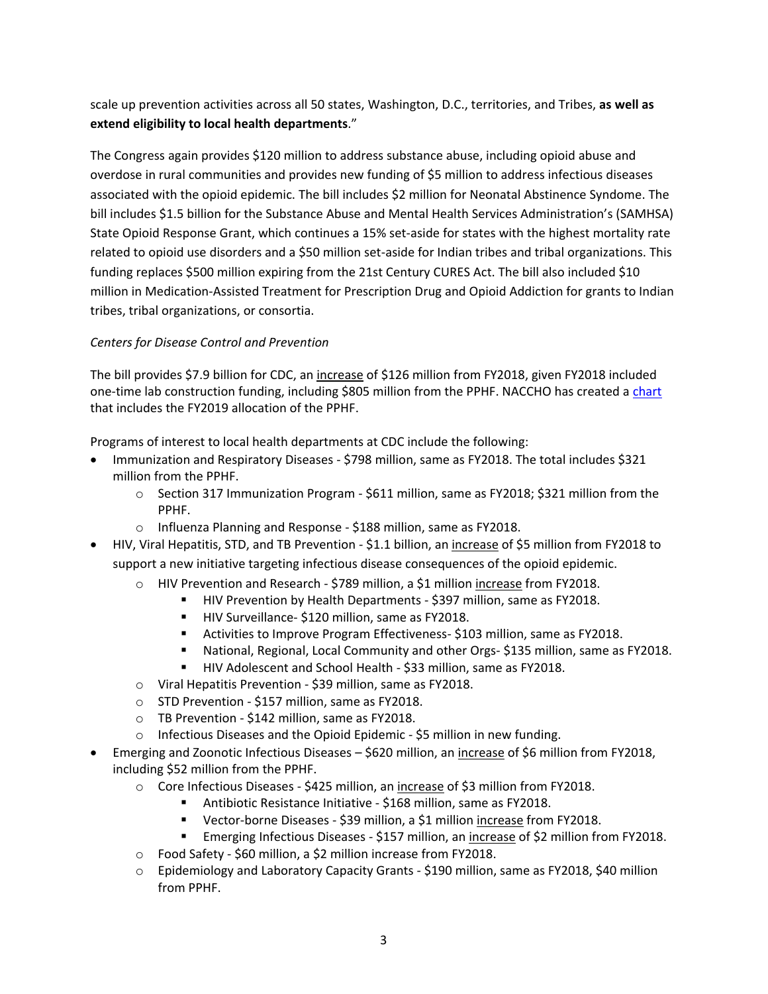scale up prevention activities across all 50 states, Washington, D.C., territories, and Tribes, **as well as extend eligibility to local health departments**."

The Congress again provides \$120 million to address substance abuse, including opioid abuse and overdose in rural communities and provides new funding of \$5 million to address infectious diseases associated with the opioid epidemic. The bill includes \$2 million for Neonatal Abstinence Syndome. The bill includes \$1.5 billion for the Substance Abuse and Mental Health Services Administration's (SAMHSA) State Opioid Response Grant, which continues a 15% set-aside for states with the highest mortality rate related to opioid use disorders and a \$50 million set-aside for Indian tribes and tribal organizations. This funding replaces \$500 million expiring from the 21st Century CURES Act. The bill also included \$10 million in Medication-Assisted Treatment for Prescription Drug and Opioid Addiction for grants to Indian tribes, tribal organizations, or consortia.

### *Centers for Disease Control and Prevention*

The bill provides \$7.9 billion for CDC, an increase of \$126 million from FY2018, given FY2018 included one-time lab construction funding, including \$805 million from the PPHF. NACCHO has created a [chart](https://www.naccho.org/uploads/downloadable-resources/PPHF-2014-2019-final.pdf) that includes the FY2019 allocation of the PPHF.

Programs of interest to local health departments at CDC include the following:

- Immunization and Respiratory Diseases \$798 million, same as FY2018. The total includes \$321 million from the PPHF.
	- $\circ$  Section 317 Immunization Program \$611 million, same as FY2018; \$321 million from the PPHF.
	- o Influenza Planning and Response \$188 million, same as FY2018.
- HIV, Viral Hepatitis, STD, and TB Prevention \$1.1 billion, an increase of \$5 million from FY2018 to support a new initiative targeting infectious disease consequences of the opioid epidemic.
	- o HIV Prevention and Research \$789 million, a \$1 million increase from FY2018.
		- **HIV Prevention by Health Departments \$397 million, same as FY2018.** 
			- HIV Surveillance- \$120 million, same as FY2018.
			- Activities to Improve Program Effectiveness- \$103 million, same as FY2018.
		- National, Regional, Local Community and other Orgs- \$135 million, same as FY2018.
		- HIV Adolescent and School Health \$33 million, same as FY2018.
	- o Viral Hepatitis Prevention \$39 million, same as FY2018.
	- o STD Prevention \$157 million, same as FY2018.
	- o TB Prevention \$142 million, same as FY2018.
	- o Infectious Diseases and the Opioid Epidemic \$5 million in new funding.
- Emerging and Zoonotic Infectious Diseases \$620 million, an increase of \$6 million from FY2018, including \$52 million from the PPHF.
	- o Core Infectious Diseases \$425 million, an increase of \$3 million from FY2018.
		- Antibiotic Resistance Initiative \$168 million, same as FY2018.
			- Vector-borne Diseases \$39 million, a \$1 million increase from FY2018.
			- Emerging Infectious Diseases \$157 million, an increase of \$2 million from FY2018.
	- o Food Safety \$60 million, a \$2 million increase from FY2018.
	- o Epidemiology and Laboratory Capacity Grants \$190 million, same as FY2018, \$40 million from PPHF.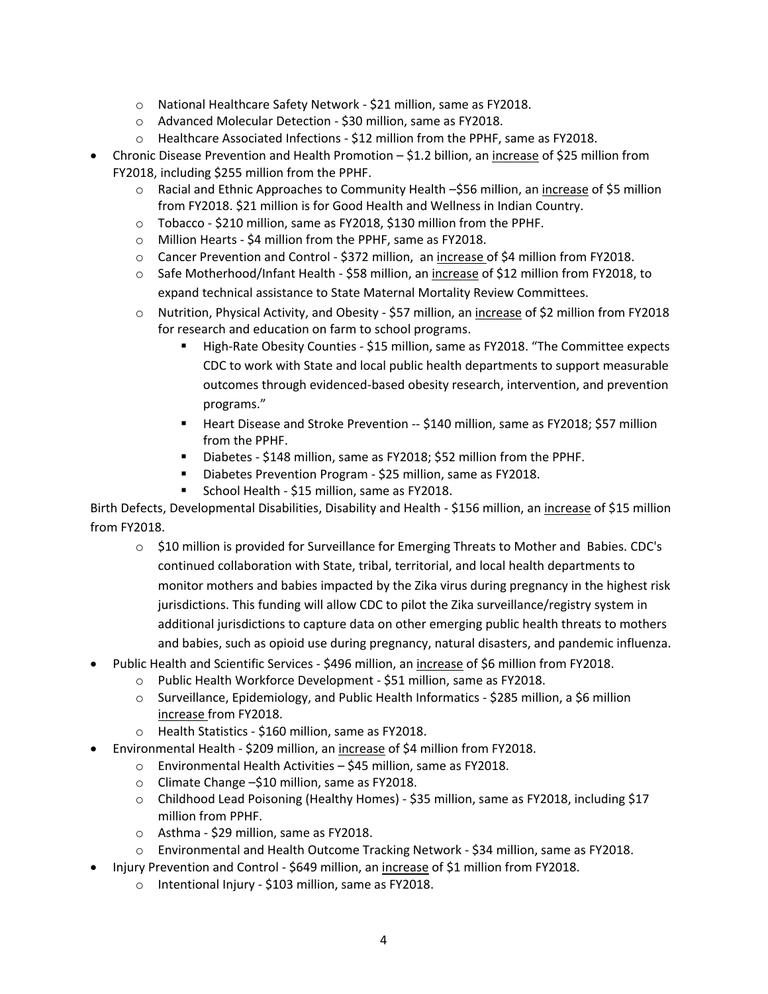- o National Healthcare Safety Network \$21 million, same as FY2018.
- o Advanced Molecular Detection \$30 million, same as FY2018.
- o Healthcare Associated Infections \$12 million from the PPHF, same as FY2018.
- Chronic Disease Prevention and Health Promotion \$1.2 billion, an increase of \$25 million from FY2018, including \$255 million from the PPHF.
	- $\circ$  Racial and Ethnic Approaches to Community Health –\$56 million, an increase of \$5 million from FY2018. \$21 million is for Good Health and Wellness in Indian Country.
	- o Tobacco \$210 million, same as FY2018, \$130 million from the PPHF.
	- o Million Hearts \$4 million from the PPHF, same as FY2018.
	- o Cancer Prevention and Control \$372 million, an increase of \$4 million from FY2018.
	- o Safe Motherhood/Infant Health \$58 million, an increase of \$12 million from FY2018, to expand technical assistance to State Maternal Mortality Review Committees.
	- o Nutrition, Physical Activity, and Obesity \$57 million, an increase of \$2 million from FY2018 for research and education on farm to school programs.
		- High-Rate Obesity Counties \$15 million, same as FY2018. "The Committee expects CDC to work with State and local public health departments to support measurable outcomes through evidenced-based obesity research, intervention, and prevention programs."
		- **Heart Disease and Stroke Prevention -- \$140 million, same as FY2018; \$57 million** from the PPHF.
		- Diabetes \$148 million, same as FY2018; \$52 million from the PPHF.
		- Diabetes Prevention Program \$25 million, same as FY2018.
		- School Health \$15 million, same as FY2018.

Birth Defects, Developmental Disabilities, Disability and Health - \$156 million, an increase of \$15 million from FY2018.

- o \$10 million is provided for Surveillance for Emerging Threats to Mother and Babies. CDC's continued collaboration with State, tribal, territorial, and local health departments to monitor mothers and babies impacted by the Zika virus during pregnancy in the highest risk jurisdictions. This funding will allow CDC to pilot the Zika surveillance/registry system in additional jurisdictions to capture data on other emerging public health threats to mothers and babies, such as opioid use during pregnancy, natural disasters, and pandemic influenza.
- Public Health and Scientific Services \$496 million, an increase of \$6 million from FY2018.
	- o Public Health Workforce Development \$51 million, same as FY2018.
	- o Surveillance, Epidemiology, and Public Health Informatics \$285 million, a \$6 million increase from FY2018.
	- o Health Statistics \$160 million, same as FY2018.
- Environmental Health \$209 million, an increase of \$4 million from FY2018.
	- o Environmental Health Activities \$45 million, same as FY2018.
	- o Climate Change –\$10 million, same as FY2018.
	- o Childhood Lead Poisoning (Healthy Homes) \$35 million, same as FY2018, including \$17 million from PPHF.
	- o Asthma \$29 million, same as FY2018.
	- o Environmental and Health Outcome Tracking Network \$34 million, same as FY2018.
	- Injury Prevention and Control \$649 million, an increase of \$1 million from FY2018.
		- o Intentional Injury \$103 million, same as FY2018.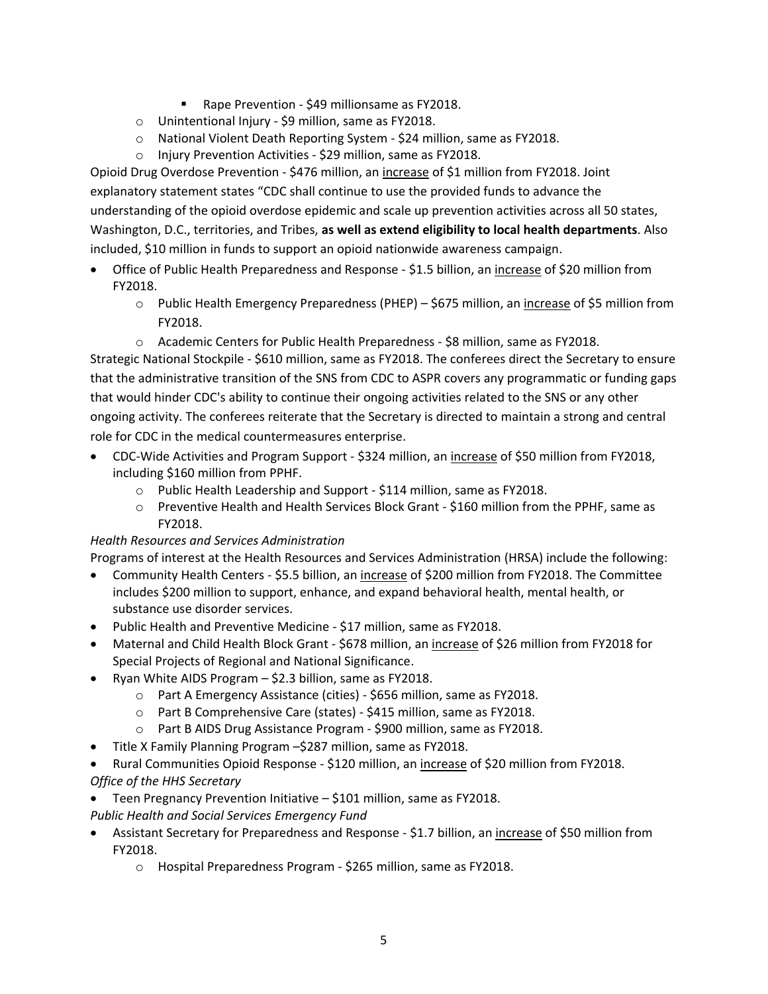- Rape Prevention \$49 millionsame as FY2018.
- o Unintentional Injury \$9 million, same as FY2018.
- o National Violent Death Reporting System \$24 million, same as FY2018.
- o Injury Prevention Activities \$29 million, same as FY2018.

Opioid Drug Overdose Prevention - \$476 million, an increase of \$1 million from FY2018. Joint explanatory statement states "CDC shall continue to use the provided funds to advance the understanding of the opioid overdose epidemic and scale up prevention activities across all 50 states, Washington, D.C., territories, and Tribes, **as well as extend eligibility to local health departments**. Also included, \$10 million in funds to support an opioid nationwide awareness campaign.

- Office of Public Health Preparedness and Response \$1.5 billion, an increase of \$20 million from FY2018.
	- o Public Health Emergency Preparedness (PHEP) \$675 million, an increase of \$5 million from FY2018.
	- o Academic Centers for Public Health Preparedness \$8 million, same as FY2018.

Strategic National Stockpile - \$610 million, same as FY2018. The conferees direct the Secretary to ensure that the administrative transition of the SNS from CDC to ASPR covers any programmatic or funding gaps that would hinder CDC's ability to continue their ongoing activities related to the SNS or any other ongoing activity. The conferees reiterate that the Secretary is directed to maintain a strong and central role for CDC in the medical countermeasures enterprise.

- CDC-Wide Activities and Program Support \$324 million, an increase of \$50 million from FY2018, including \$160 million from PPHF.
	- o Public Health Leadership and Support \$114 million, same as FY2018.
	- o Preventive Health and Health Services Block Grant \$160 million from the PPHF, same as FY2018.

### *Health Resources and Services Administration*

Programs of interest at the Health Resources and Services Administration (HRSA) include the following:

- Community Health Centers \$5.5 billion, an increase of \$200 million from FY2018. The Committee includes \$200 million to support, enhance, and expand behavioral health, mental health, or substance use disorder services.
- Public Health and Preventive Medicine \$17 million, same as FY2018.
- Maternal and Child Health Block Grant \$678 million, an increase of \$26 million from FY2018 for Special Projects of Regional and National Significance.
- Ryan White AIDS Program \$2.3 billion, same as FY2018.
	- o Part A Emergency Assistance (cities) \$656 million, same as FY2018.
	- o Part B Comprehensive Care (states) \$415 million, same as FY2018.
	- o Part B AIDS Drug Assistance Program \$900 million, same as FY2018.
- Title X Family Planning Program –\$287 million, same as FY2018.
- Rural Communities Opioid Response \$120 million, an increase of \$20 million from FY2018. *Office of the HHS Secretary*
- Teen Pregnancy Prevention Initiative \$101 million, same as FY2018.
- *Public Health and Social Services Emergency Fund*
- Assistant Secretary for Preparedness and Response \$1.7 billion, an *increase* of \$50 million from FY2018.
	- o Hospital Preparedness Program \$265 million, same as FY2018.